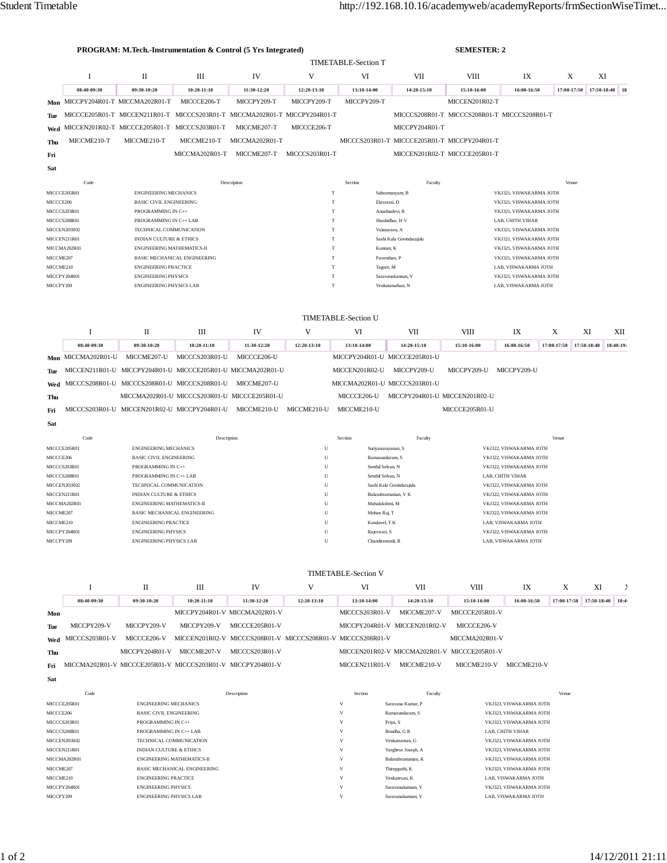|                                                                                             | PROGRAM: M.Tech.-Instrumentation & Control (5 Yrs Integrated) |                                                                            |                                     |                |                                                          |                                              |                                              | <b>SEMESTER: 2</b>                                 |                                                 |             |             |                |
|---------------------------------------------------------------------------------------------|---------------------------------------------------------------|----------------------------------------------------------------------------|-------------------------------------|----------------|----------------------------------------------------------|----------------------------------------------|----------------------------------------------|----------------------------------------------------|-------------------------------------------------|-------------|-------------|----------------|
|                                                                                             |                                                               |                                                                            |                                     |                |                                                          | <b>TIMETABLE-Section T</b>                   |                                              |                                                    |                                                 |             |             |                |
|                                                                                             | I                                                             | $\mathbf{I}$                                                               | Ш                                   | IV             | V                                                        | VI                                           | VII                                          | <b>VIII</b>                                        | IX                                              | X           | XI          |                |
|                                                                                             | 08:40-09:30                                                   | 09:30-10:20                                                                | 10:20-11:10                         | 11:30-12:20    | 12:20-13:10                                              | 13:10-14:00                                  | 14:20-15:10                                  | 15:10-16:00                                        | 16:00-16:50                                     | 17:00-17:50 |             | 17:50-18:40 18 |
|                                                                                             | Mon MICCPY204R01-T MICCMA202R01-T                             |                                                                            | MICCCE206-T                         | MICCPY209-T    | MICCPY209-T                                              | MICCPY209-T                                  |                                              | MICCEN201R02-T                                     |                                                 |             |             |                |
| Tue                                                                                         |                                                               | MICCCE205R01-T MICCEN211R01-T MICCCS203R01-T MICCMA202R01-T MICCPY204R01-T |                                     |                |                                                          |                                              | MICCCS208R01-T MICCCS208R01-T MICCCS208R01-T |                                                    |                                                 |             |             |                |
| Wed                                                                                         |                                                               | MICCEN201R02-T MICCCE205R01-T MICCCS203R01-T                               |                                     | MICCME207-T    | MICCCE206-T                                              |                                              | MICCPY204R01-T                               |                                                    |                                                 |             |             |                |
| Thu                                                                                         | MICCME210-T                                                   | MICCME210-T                                                                | MICCME210-T                         | MICCMA202R01-T |                                                          |                                              | MICCCS203R01-T MICCCE205R01-T MICCPY204R01-T |                                                    |                                                 |             |             |                |
| Fri                                                                                         |                                                               |                                                                            | MICCMA202R01-T                      | MICCME207-T    | MICCCS203R01-T                                           |                                              | MICCEN201R02-T MICCCE205R01-T                |                                                    |                                                 |             |             |                |
|                                                                                             |                                                               |                                                                            |                                     |                |                                                          |                                              |                                              |                                                    |                                                 |             |             |                |
|                                                                                             | Sat                                                           |                                                                            |                                     |                |                                                          |                                              |                                              |                                                    |                                                 |             |             |                |
|                                                                                             | Code                                                          |                                                                            |                                     | Description    |                                                          | Section                                      | Faculty                                      |                                                    |                                                 | Venue       |             |                |
| MICCCE205R01<br><b>ENGINEERING MECHANICS</b><br>MICCCE206<br><b>BASIC CIVIL ENGINEERING</b> |                                                               |                                                                            |                                     | T<br>T         |                                                          | Subramanyam, B<br>Elavarasi, D               |                                              | VKJ321, VISWAKARMA JOTH<br>VKJ321, VISWAKARMA JOTH |                                                 |             |             |                |
| MICCCS203R01<br>PROGRAMMING IN C++                                                          |                                                               |                                                                            |                                     | T              |                                                          | Anushiadevi, R                               |                                              | VKJ321, VISWAKARMA JOTH                            |                                                 |             |             |                |
|                                                                                             | MICCCS208R01<br>PROGRAMMING IN C++ LAB                        |                                                                            |                                     | T              |                                                          | Shashidhar, H V                              |                                              | LAB, CHITH VIHAR                                   |                                                 |             |             |                |
|                                                                                             | MICCEN201R02                                                  | TECHNICAL COMMUNICATION                                                    |                                     |                | T                                                        |                                              | Valanarasu, A                                | VKJ321, VISWAKARMA JOTH                            |                                                 |             |             |                |
|                                                                                             | MICCEN211R01                                                  | <b>INDIAN CULTURE &amp; ETHICS</b>                                         |                                     |                | T<br>Sashi Kala Govindarajulu<br>VKJ321, VISWAKARMA JOTH |                                              |                                              |                                                    |                                                 |             |             |                |
|                                                                                             | MICCMA202R01                                                  | ENGINEERING MATHEMATICS-II                                                 |                                     |                |                                                          | T<br>Kannan, K                               |                                              |                                                    | VKJ321, VISWAKARMA JOTH                         |             |             |                |
| MICCME207                                                                                   |                                                               |                                                                            | <b>BASIC MECHANICAL ENGINEERING</b> |                |                                                          | T<br>Paventhan, P<br>VKJ321, VISWAKARMA JOTH |                                              |                                                    |                                                 |             |             |                |
| MICCME210                                                                                   | MICCPY204R01                                                  | <b>ENGINEERING PRACTICE</b><br><b>ENGINEERING PHYSICS</b>                  |                                     |                | T<br>T                                                   |                                              | Tagore, M<br>Saravanakannan, V               |                                                    | LAB, VISWAKARMA JOTH                            |             |             |                |
| MICCPY209                                                                                   |                                                               | <b>ENGINEERING PHYSICS LAB</b>                                             |                                     |                | T                                                        |                                              | Venkatanathan, N                             |                                                    | VKJ321, VISWAKARMA JOTH<br>LAB, VISWAKARMA JOTH |             |             |                |
|                                                                                             |                                                               |                                                                            |                                     |                |                                                          |                                              |                                              |                                                    |                                                 |             |             |                |
|                                                                                             |                                                               |                                                                            |                                     |                |                                                          |                                              |                                              |                                                    |                                                 |             |             |                |
|                                                                                             |                                                               |                                                                            |                                     |                |                                                          | <b>TIMETABLE-Section U</b>                   |                                              |                                                    |                                                 |             |             |                |
|                                                                                             | 1                                                             | П                                                                          | Ш                                   | IV             | V                                                        | VI                                           | <b>VII</b>                                   | <b>VIII</b>                                        | IX                                              | X           | XI          | XII            |
|                                                                                             | 08:40-09:30                                                   | 09:30-10:20                                                                | $10:20-11:10$                       | 11:30-12:20    | 12:20-13:10                                              | 13:10-14:00                                  | 14:20-15:10                                  | 15:10-16:00                                        | 16:00-16:50                                     | 17:00-17:50 | 17:50-18:40 | 18:40-19:      |
|                                                                                             | Mon MICCMA202R01-U                                            | MICCME207-U                                                                | MICCCS203R01-U                      | MICCCE206-U    |                                                          |                                              | MICCPY204R01-U MICCCE205R01-U                |                                                    |                                                 |             |             |                |
| Tue                                                                                         |                                                               | MICCEN211R01-U MICCPY204R01-U MICCCE205R01-U MICCMA202R01-U                |                                     |                |                                                          | MICCEN201R02-U                               | MICCPY209-U                                  | MICCPY209-U                                        | MICCPY209-U                                     |             |             |                |
|                                                                                             |                                                               | Wed MICCCS208R01-U MICCCS208R01-U MICCCS208R01-U                           |                                     | MICCME207-U    |                                                          |                                              | MICCMA202R01-U MICCCS203R01-U                |                                                    |                                                 |             |             |                |

**Thu** MICCMA202R01-U MICCCS203R01-U MICCCE205R01-U MICCCE206-U MICCPY204R01-U MICCEN201R02-U **Fri** MICCCS203R01-U MICCEN201R02-U MICCPY204R01-U MICCME210-U MICCME210-U MICCME210-U MICCCE205R01-U

| FП  | MICCC3203IWI-C |
|-----|----------------|
| Sat |                |

| Code         | Description                         | Section | Faculty                  | Venue                   |
|--------------|-------------------------------------|---------|--------------------------|-------------------------|
| MICCCE205R01 | <b>ENGINEERING MECHANICS</b>        | U       | Suriyanarayanan, S       | VKJ322, VISWAKARMA JOTH |
| MICCCE206    | <b>BASIC CIVIL ENGINEERING</b>      | U       | Ramasundaram, S          | VKJ322, VISWAKARMA JOTH |
| MICCCS203R01 | PROGRAMMING IN C++                  | U       | Senthil Selvan, N        | VKJ322, VISWAKARMA JOTH |
| MICCCS208R01 | PROGRAMMING IN C++ LAB              | U       | Senthil Selvan, N        | LAB. CHITH VIHAR        |
| MICCEN201R02 | TECHNICAL COMMUNICATION             | U       | Sashi Kala Govindarajulu | VKJ322, VISWAKARMA JOTH |
| MICCEN211R01 | <b>INDIAN CULTURE &amp; ETHICS</b>  | U       | Balasubramanian, V K     | VKJ322, VISWAKARMA JOTH |
| MICCMA202R01 | <b>ENGINEERING MATHEMATICS-II</b>   | U       | Mahalakshmi, M           | VKJ322, VISWAKARMA JOTH |
| MICCME207    | <b>BASIC MECHANICAL ENGINEERING</b> | U       | Mohan Raj, T             | VKJ322, VISWAKARMA JOTH |
| MICCME210    | <b>ENGINEERING PRACTICE</b>         | U       | Kandavel, T K            | LAB. VISWAKARMA JOTH    |
| MICCPY204R01 | <b>ENGINEERING PHYSICS</b>          | U       | Rajeswari, S             | VKJ322, VISWAKARMA JOTH |
| MICCPY209    | <b>ENGINEERING PHYSICS LAB</b>      | U       | Chandiramouli, R         | LAB. VISWAKARMA JOTH    |

## TIMETABLE-Section V

|            |                                                             |                | Ш             | IV                                                          |             | VI             | VII                                          | VIII           | IX          | Х | XI                                      |  |
|------------|-------------------------------------------------------------|----------------|---------------|-------------------------------------------------------------|-------------|----------------|----------------------------------------------|----------------|-------------|---|-----------------------------------------|--|
|            | 08:40-09:30                                                 | 09:30-10:20    | $10:20-11:10$ | 11:30-12:20                                                 | 12:20-13:10 | 13:10-14:00    | 14:20-15:10                                  | 15:10-16:00    | 16:00-16:50 |   | $17:00-17:50$   $17:50-18:40$   $18:40$ |  |
| Mon        |                                                             |                |               | MICCPY204R01-V MICCMA202R01-V                               |             | MICCCS203R01-V | MICCME <sub>207-V</sub>                      | MICCCE205R01-V |             |   |                                         |  |
| <b>Tue</b> | MICCPY209-V                                                 | MICCPY209-V    | MICCPY209-V   | MICCCE205R01-V                                              |             |                | MICCPY204R01-V MICCEN201R02-V                | MICCCE206-V    |             |   |                                         |  |
|            | $Wed$ MICCCS203R01-V                                        | MICCCE206-V    |               | MICCEN201R02-V MICCCS208R01-V MICCCS208R01-V MICCCS208R01-V |             |                |                                              | MICCMA202R01-V |             |   |                                         |  |
| Thu        |                                                             | MICCPY204R01-V | MICCME207-V   | MICCCS203R01-V                                              |             |                | MICCEN201R02-V MICCMA202R01-V MICCCE205R01-V |                |             |   |                                         |  |
| Fri        | MICCMA202R01-V MICCCE205R01-V MICCCS203R01-V MICCPY204R01-V |                |               |                                                             |             | MICCEN211R01-V | MICCME210-V                                  | MICCME210-V    | MICCME210-V |   |                                         |  |

| Code                  | Description                         | Section | Faculty            | Venue                   |
|-----------------------|-------------------------------------|---------|--------------------|-------------------------|
| MICCCE205R01          | <b>ENGINEERING MECHANICS</b>        | V       | Sarayana Kumar, P  | VKJ323, VISWAKARMA JOTH |
| MICCCE206             | <b>BASIC CIVIL ENGINEERING</b>      | V       | Ramasundaram, S    | VKJ323, VISWAKARMA JOTH |
| MICCCS203R01          | PROGRAMMING IN C++                  | V       | Priya, S           | VKJ323, VISWAKARMA JOTH |
| MICCCS208R01          | PROGRAMMING IN C++ LAB              | V       | Brindha, G R       | LAB. CHITH VIHAR        |
| MICCEN201R02          | TECHNICAL COMMUNICATION             | V       | Venkatraman, G     | VKJ323, VISWAKARMA JOTH |
| MICCEN211R01          | <b>INDIAN CULTURE &amp; ETHICS</b>  | V       | Varghese Joseph, A | VKJ323, VISWAKARMA JOTH |
| MICCMA202R01          | <b>ENGINEERING MATHEMATICS-II</b>   | V       | Balasubramanian, K | VKJ323, VISWAKARMA JOTH |
| MICCME <sub>207</sub> | <b>BASIC MECHANICAL ENGINEERING</b> | V       | Thiruppathi, K     | VKJ323, VISWAKARMA JOTH |
| MICCME210             | <b>ENGINEERING PRACTICE</b>         | V       | Venkatesan, K      | LAB. VISWAKARMA JOTH    |
| MICCPY204R01          | <b>ENGINEERING PHYSICS</b>          | V       | Sarayanakannan, V  | VKJ323, VISWAKARMA JOTH |
| MICCPY209             | <b>ENGINEERING PHYSICS LAB</b>      | v       | Sarayanakannan, V  | LAB. VISWAKARMA JOTH    |

**Sat**